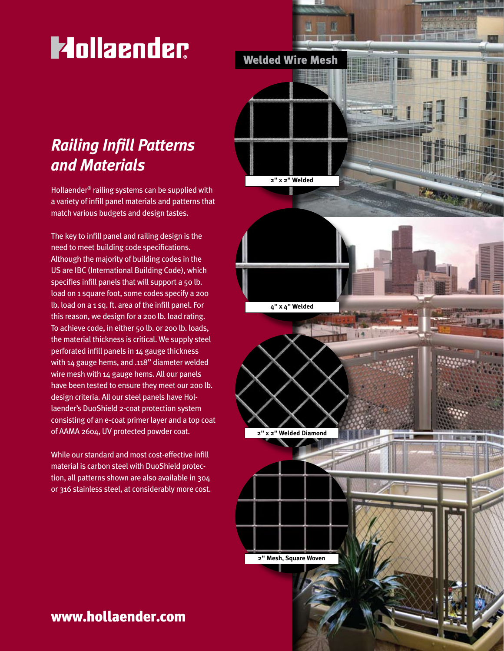# **Mollaender**

# *Railing Infill Patterns and Materials*

Hollaender® railing systems can be supplied with a variety of infill panel materials and patterns that match various budgets and design tastes.

The key to infill panel and railing design is the need to meet building code specifications. Although the majority of building codes in the US are IBC (International Building Code), which specifies infill panels that will support a 50 lb. load on 1 square foot, some codes specify a 200 lb. load on a 1 sq. ft. area of the infill panel. For this reason, we design for a 200 lb. load rating. To achieve code, in either 50 lb. or 200 lb. loads, the material thickness is critical. We supply steel perforated infill panels in 14 gauge thickness with 14 gauge hems, and .118" diameter welded wire mesh with 14 gauge hems. All our panels have been tested to ensure they meet our 200 lb. design criteria. All our steel panels have Hollaender's DuoShield 2-coat protection system consisting of an e-coat primer layer and a top coat of AAMA 2604, UV protected powder coat.

While our standard and most cost-effective infill material is carbon steel with DuoShield protection, all patterns shown are also available in 304 or 316 stainless steel, at considerably more cost.



# www.hollaender.com